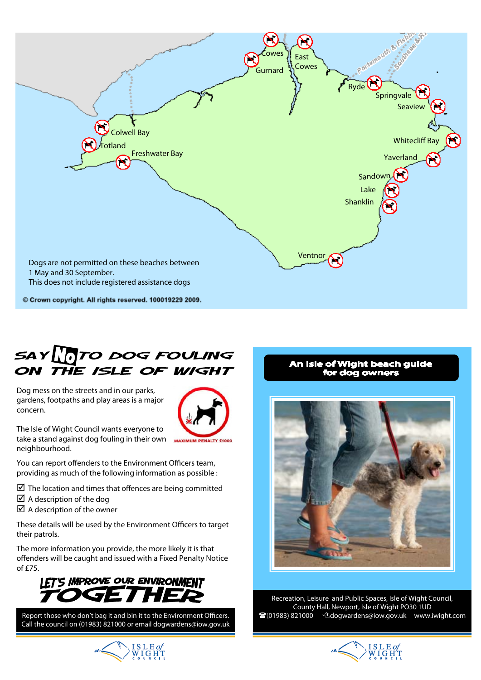

# SAY TO DOG FOULING ON THE ISLE OF WIGHT

Dog mess on the streets and in our parks, gardens, footpaths and play areas is a major concern.



The Isle of Wight Council wants everyone to take a stand against dog fouling in their own neighbourhood.

You can report offenders to the Environment Officers team, providing as much of the following information as possible :

 $\boxtimes$  The location and times that offences are being committed

- $\boxtimes$  A description of the dog
- $\boxtimes$  A description of the owner

These details will be used by the Environment Officers to target their patrols.

The more information you provide, the more likely it is that offenders will be caught and issued with a Fixed Penalty Notice of £75.



Report those who don't bag it and bin it to the Environment Officers. Call the council on (01983) 821000 or email dogwardens@iow.gov.uk

# An Isle of Wight beach guide for dog owners



Recreation, Leisure and Public Spaces, Isle of Wight Council, County Hall, Newport, Isle of Wight PO30 1UD (01983) 821000 dogwardens@iow.gov.uk www.iwight.com